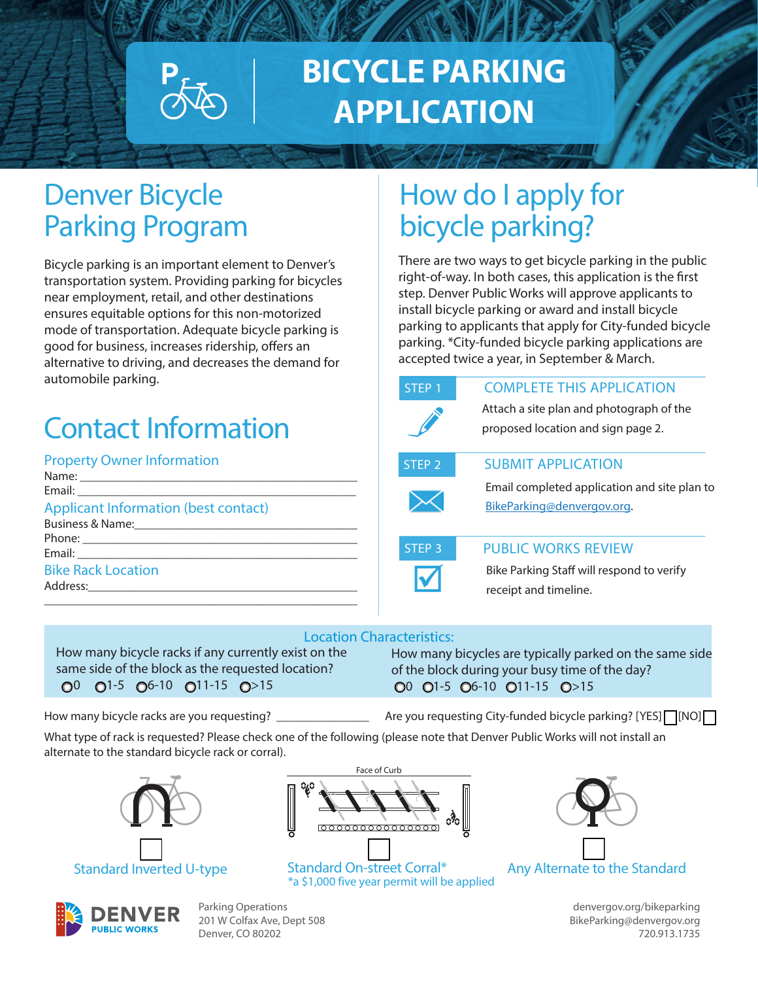

# **BICYCLE PARKING APPLICATION**

### Denver Bicycle Parking Program

Bicycle parking is an important element to Denver's transportation system. Providing parking for bicycles near employment, retail, and other destinations ensures equitable options for this non-motorized mode of transportation. Adequate bicycle parking is good for business, increases ridership, offers an alternative to driving, and decreases the demand for automobile parking.

## Contact Information

### Property Owner Information

| <b>Applicant Information (best contact)</b> |
|---------------------------------------------|
|                                             |
|                                             |
|                                             |
| <b>Bike Rack Location</b>                   |
|                                             |
|                                             |

### How do I apply for bicycle parking?

There are two ways to get bicycle parking in the public right-of-way. In both cases, this application is the first step. Denver Public Works will approve applicants to install bicycle parking or award and install bicycle parking to applicants that apply for City-funded bicycle parking. \*City-funded bicycle parking applications are accepted twice a year, in September & March.

| STEP <sub>1</sub> | <b>COMPLETE THIS APPLICATION</b>                                               |
|-------------------|--------------------------------------------------------------------------------|
|                   | Attach a site plan and photograph of the<br>proposed location and sign page 2. |
| STEP <sub>2</sub> | <b>SUBMIT APPLICATION</b>                                                      |
|                   | Email completed application and site plan to<br>BikeParking@denvergov.org.     |
| STEP <sub>3</sub> | <b>PUBLIC WORKS REVIEW</b>                                                     |



#### PUBLIC WORKS REVIEW

Bike Parking Staff will respond to verify receipt and timeline.

#### Location Characteristics:

How many bicycle racks if any currently exist on the same side of the block as the requested location?  $O^0$   $O^{1-5}$   $O^{6-10}$   $O^{11-15}$   $O^{>15}$ 

How many bicycles are typically parked on the same side of the block during your busy time of the day?  $00$   $01-5$   $06-10$   $011-15$   $0>15$ 

How many bicycle racks are you requesting? \_\_\_\_\_\_\_\_\_\_\_\_\_\_\_ Are you requesting City-funded bicycle parking? [YES] or [NO]

What type of rack is requested? Please check one of the following (please note that Denver Public Works will not install an alternate to the standard bicycle rack or corral).





Standard Inverted U-type Standard On-street Corral\* Any Alternate to the Standard<br><sup>\*</sup>a \$1,000 five year permit will be applied



**PUBLIC WORKS** 

Parking Operations 201 W Colfax Ave, Dept 508 Denver, CO 80202

denvergov.org/bikeparking BikeParking@denvergov.org 720.913.1735